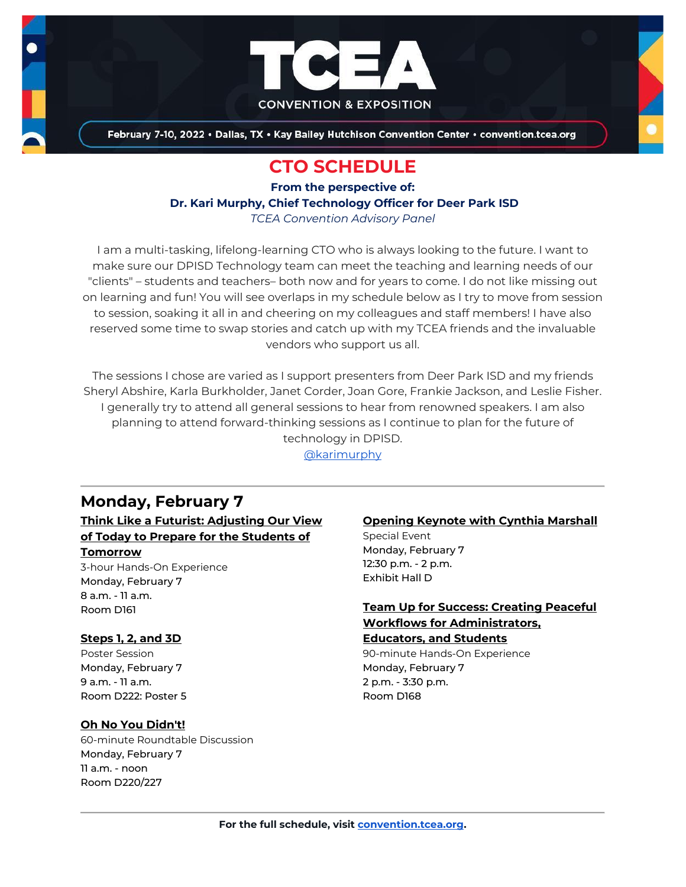

February 7-10, 2022 . Dallas, TX . Kay Bailey Hutchison Convention Center . convention.tcea.org

# **CTO SCHEDULE**

**From the perspective of: Dr. Kari Murphy, Chief Technology Officer for Deer Park ISD** *TCEA Convention Advisory Panel*

I am a multi-tasking, lifelong-learning CTO who is always looking to the future. I want to make sure our DPISD Technology team can meet the teaching and learning needs of our "clients" – students and teachers– both now and for years to come. I do not like missing out on learning and fun! You will see overlaps in my schedule below as I try to move from session to session, soaking it all in and cheering on my colleagues and staff members! I have also reserved some time to swap stories and catch up with my TCEA friends and the invaluable vendors who support us all.

The sessions I chose are varied as I support presenters from Deer Park ISD and my friends Sheryl Abshire, Karla Burkholder, Janet Corder, Joan Gore, Frankie Jackson, and Leslie Fisher. I generally try to attend all general sessions to hear from renowned speakers. I am also planning to attend forward-thinking sessions as I continue to plan for the future of technology in DPISD.

[@karimurphy](https://twitter.com/karimurphy)

# **Monday, February 7**

## **[Think Like a Futurist: Adjusting Our View](https://register.tcea.org/2022/session_list.cfm?session_key=02433310-F04D-A206-2B64-8D1628CD2013&session_date=Monday,%20Feb%2007,%202022)  [of Today to Prepare for the Students of](https://register.tcea.org/2022/session_list.cfm?session_key=02433310-F04D-A206-2B64-8D1628CD2013&session_date=Monday,%20Feb%2007,%202022)**

#### **[Tomorrow](https://register.tcea.org/2022/session_list.cfm?session_key=02433310-F04D-A206-2B64-8D1628CD2013&session_date=Monday,%20Feb%2007,%202022)**

3-hour Hands-On Experience Monday, February 7 8 a.m. - 11 a.m. Room D161

### **[Steps 1, 2, and 3D](https://register.tcea.org/2022/session_list.cfm?session_key=02414D46-F04D-A206-2B64-16D73C0FD270&session_date=Monday,%20Feb%2007,%202022)**

Poster Session Monday, February 7 9 a.m. - 11 a.m. Room D222: Poster 5

### **[Oh No You Didn't!](https://register.tcea.org/2022/session_list.cfm?session_key=EEA0CAE5-F04D-A206-2B64-53FFFF524C93&session_date=Monday,%20Feb%2007,%202022)**

60-minute Roundtable Discussion Monday, February 7 11 a.m. - noon Room D220/227

## **[Opening Keynote with Cynthia Marshall](https://register.tcea.org/2022/session_list.cfm?session_key=5F0745B8-F04D-A206-2B64-0D4631096E34&session_date=Monday,%20Feb%2007,%202022)**

Special Event Monday, February 7 12:30 p.m. - 2 p.m. Exhibit Hall D

## **[Team Up for Success: Creating Peaceful](https://register.tcea.org/2022/session_list.cfm?session_key=0241DB48-F04D-A206-2B64-2CC5A54E4167&session_date=Monday,%20Feb%2007,%202022)  [Workflows for Administrators,](https://register.tcea.org/2022/session_list.cfm?session_key=0241DB48-F04D-A206-2B64-2CC5A54E4167&session_date=Monday,%20Feb%2007,%202022)**

**[Educators, and Students](https://register.tcea.org/2022/session_list.cfm?session_key=0241DB48-F04D-A206-2B64-2CC5A54E4167&session_date=Monday,%20Feb%2007,%202022)**

90-minute Hands-On Experience Monday, February 7 2 p.m. - 3:30 p.m. Room D168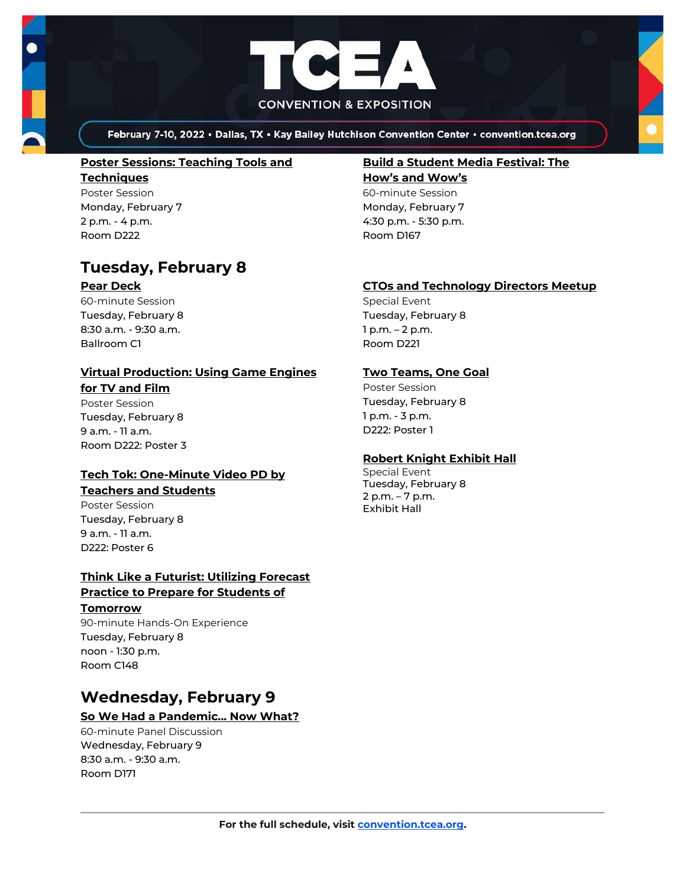

February 7-10, 2022 . Dallas, TX . Kay Bailey Hutchison Convention Center . convention.tcea.org

#### **[Poster Sessions: Teaching Tools and](https://register.tcea.org/2022/session_list.cfm?session_key=3120AC9A-F04D-A206-2B64-BBC2BE60E9A5&session_date=Monday,%20Feb%2007,%202022)**

**[Techniques](https://register.tcea.org/2022/session_list.cfm?session_key=3120AC9A-F04D-A206-2B64-BBC2BE60E9A5&session_date=Monday,%20Feb%2007,%202022)** Poster Session Monday, February 7 2 p.m. - 4 p.m. Room D222

## **Tuesday, February 8**

#### **[Pear Deck](https://register.tcea.org/2022/session_list.cfm?session_key=6274D5D4-F04D-A206-2B64-FCE23AA07207&session_date=Tuesday,%20Feb%2008,%202022)**

60-minute Session Tuesday, February 8 8:30 a.m. - 9:30 a.m. Ballroom C1

# **[Virtual Production: Using Game Engines](https://register.tcea.org/2022/session_list.cfm?session_key=024540B9-F04D-A206-2B64-054766464F6B&session_date=Tuesday,%20Feb%2008,%202022)**

**[for TV and Film](https://register.tcea.org/2022/session_list.cfm?session_key=024540B9-F04D-A206-2B64-054766464F6B&session_date=Tuesday,%20Feb%2008,%202022)** Poster Session Tuesday, February 8 9 a.m. - 11 a.m. Room D222: Poster 3

#### **[Tech Tok: One-Minute Video PD by](https://register.tcea.org/2022/session_list.cfm?session_key=0242140A-F04D-A206-2B64-48603AF7FAE7&session_date=Tuesday,%20Feb%2008,%202022)  [Teachers and Students](https://register.tcea.org/2022/session_list.cfm?session_key=0242140A-F04D-A206-2B64-48603AF7FAE7&session_date=Tuesday,%20Feb%2008,%202022)**

Poster Session Tuesday, February 8 9 a.m. - 11 a.m. D222: Poster 6

## **[Think Like a Futurist: Utilizing Forecast](https://register.tcea.org/2022/session_list.cfm?session_key=02433DCD-F04D-A206-2B64-D1DBDB29C784&session_date=Tuesday,%20Feb%2008,%202022)  [Practice to Prepare for Students of](https://register.tcea.org/2022/session_list.cfm?session_key=02433DCD-F04D-A206-2B64-D1DBDB29C784&session_date=Tuesday,%20Feb%2008,%202022)**

#### **[Tomorrow](https://register.tcea.org/2022/session_list.cfm?session_key=02433DCD-F04D-A206-2B64-D1DBDB29C784&session_date=Tuesday,%20Feb%2008,%202022)**

90-minute Hands-On Experience Tuesday, February 8 noon - 1:30 p.m. Room C148

# **Wednesday, February 9**

## **[So We Had a Pandemic... Now What?](https://register.tcea.org/2022/session_list.cfm?session_key=0240BA5C-F04D-A206-2B64-E915C616328A&session_date=Wednesday,%20Feb%2009,%202022)**

60-minute Panel Discussion Wednesday, February 9 8:30 a.m. - 9:30 a.m. Room D171

#### **[Build a Student Media Festival: The](https://register.tcea.org/2022/session_list.cfm?session_key=023266BF-F04D-A206-2B64-02D26A2B5DE4&session_date=Monday,%20Feb%2007,%202022)**

**[How's and Wow's](https://register.tcea.org/2022/session_list.cfm?session_key=023266BF-F04D-A206-2B64-02D26A2B5DE4&session_date=Monday,%20Feb%2007,%202022)** 60-minute Session

Monday, February 7 4:30 p.m. - 5:30 p.m. Room D167

### **[CTOs and Technology Directors Meetup](https://register.tcea.org/2022/session_list.cfm?session_key=5EB22121-F04D-A206-2B64-9F3839433473&session_date=Tuesday,%20Feb%2008,%202022)**

Special Event Tuesday, February 8 1 p.m. – 2 p.m. Room D221

### **[Two Teams, One Goal](https://register.tcea.org/2022/session_list.cfm?session_key=0243BCC5-F04D-A206-2B64-69718259CC46&session_date=Tuesday,%20Feb%2008,%202022)**

Poster Session Tuesday, February 8 1 p.m. - 3 p.m. D222: Poster 1

### **[Robert Knight Exhibit Hall](https://register.tcea.org/2022/session_list.cfm?session_key=61CDF249-F04D-A206-2B64-15D6559D2515&session_date=Tuesday,%20Feb%2008,%202022)**

Special Event Tuesday, February 8 2 p.m. – 7 p.m. Exhibit Hall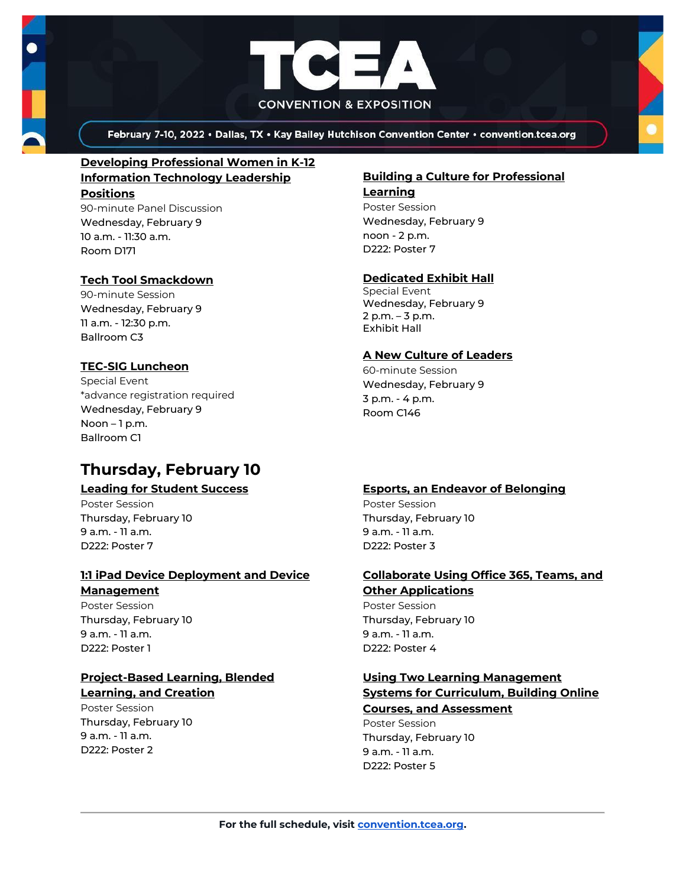



February 7-10, 2022 . Dallas, TX . Kay Bailey Hutchison Convention Center . convention.tcea.org

## **[Developing Professional Women in K-12](https://register.tcea.org/2022/session_list.cfm?session_key=02358948-F04D-A206-2B64-2965D1C7167D&session_date=Wednesday,%20Feb%2009,%202022)  [Information Technology Leadership](https://register.tcea.org/2022/session_list.cfm?session_key=02358948-F04D-A206-2B64-2965D1C7167D&session_date=Wednesday,%20Feb%2009,%202022)  [Positions](https://register.tcea.org/2022/session_list.cfm?session_key=02358948-F04D-A206-2B64-2965D1C7167D&session_date=Wednesday,%20Feb%2009,%202022)**

90-minute Panel Discussion Wednesday, February 9 10 a.m. - 11:30 a.m. Room D171

## **[Tech Tool Smackdown](https://register.tcea.org/2022/session_list.cfm?session_key=0241EAB5-F04D-A206-2B64-C7E6531C03B4&session_date=Wednesday,%20Feb%2009,%202022)**

90-minute Session Wednesday, February 9 11 a.m. - 12:30 p.m. Ballroom C3

## **[TEC-SIG Luncheon](https://register.tcea.org/2022/session_list.cfm?session_key=8A1B6A67-F04D-A206-2B64-F724CC6E0966&session_date=Wednesday,%20Feb%2009,%202022)**

Special Event \*advance registration required Wednesday, February 9 Noon – 1 p.m. Ballroom C1

# **Thursday, February 10**

## **[Leading for Student Success](https://register.tcea.org/2022/session_list.cfm?session_key=0235539B-F04D-A206-2B64-20F4DCDEDF82&session_date=Thursday,%20Feb%2010,%202022)**

Poster Session Thursday, February 10 9 a.m. - 11 a.m. D222: Poster 7

## **[1:1 iPad Device Deployment and Device](https://register.tcea.org/2022/session_list.cfm?session_key=02352380-F04D-A206-2B64-338D4F0E66A6&session_date=Thursday,%20Feb%2010,%202022)  [Management](https://register.tcea.org/2022/session_list.cfm?session_key=02352380-F04D-A206-2B64-338D4F0E66A6&session_date=Thursday,%20Feb%2010,%202022)**

Poster Session Thursday, February 10 9 a.m. - 11 a.m. D222: Poster 1

## **[Project-Based Learning, Blended](https://register.tcea.org/2022/session_list.cfm?session_key=02355DBF-F04D-A206-2B64-C978CA956093&session_date=Thursday,%20Feb%2010,%202022)  [Learning, and Creation](https://register.tcea.org/2022/session_list.cfm?session_key=02355DBF-F04D-A206-2B64-C978CA956093&session_date=Thursday,%20Feb%2010,%202022)**

Poster Session Thursday, February 10 9 a.m. - 11 a.m. D222: Poster 2

## **[Building a Culture for Professional](https://register.tcea.org/2022/session_list.cfm?session_key=02352C37-F04D-A206-2B64-EC662CE46AEF&session_date=Wednesday,%20Feb%2009,%202022)  [Learning](https://register.tcea.org/2022/session_list.cfm?session_key=02352C37-F04D-A206-2B64-EC662CE46AEF&session_date=Wednesday,%20Feb%2009,%202022)**

Poster Session Wednesday, February 9 noon - 2 p.m. D222: Poster 7

## **[Dedicated Exhibit Hall](https://register.tcea.org/2022/session_list.cfm?session_key=61CDD8E6-F04D-A206-2B64-74AAAD8173D7&session_date=Wednesday,%20Feb%2009,%202022)**

Special Event Wednesday, February 9 2 p.m. – 3 p.m. Exhibit Hall

## **[A New Culture of Leaders](https://register.tcea.org/2022/session_list.cfm?session_key=02301246-F04D-A206-2B64-6C8A208EB070&session_date=Wednesday,%20Feb%2009,%202022)**

60-minute Session Wednesday, February 9 3 p.m. - 4 p.m. Room C146

## **[Esports, an Endeavor of Belonging](https://register.tcea.org/2022/session_list.cfm?session_key=02354802-F04D-A206-2B64-F3A8F77601BF&session_date=Thursday,%20Feb%2010,%202022)**

Poster Session Thursday, February 10 9 a.m. - 11 a.m. D222: Poster 3

### **[Collaborate Using Office 365, Teams, and](https://register.tcea.org/2022/session_list.cfm?session_key=02353F65-F04D-A206-2B64-049CD1915D1E&session_date=Thursday,%20Feb%2010,%202022)  [Other Applications](https://register.tcea.org/2022/session_list.cfm?session_key=02353F65-F04D-A206-2B64-049CD1915D1E&session_date=Thursday,%20Feb%2010,%202022)**

Poster Session Thursday, February 10 9 a.m. - 11 a.m. D222: Poster 4

## **[Using Two Learning Management](https://register.tcea.org/2022/session_list.cfm?session_key=023517E5-F04D-A206-2B64-407893E696DF&session_date=Thursday,%20Feb%2010,%202022)  [Systems for Curriculum, Building Online](https://register.tcea.org/2022/session_list.cfm?session_key=023517E5-F04D-A206-2B64-407893E696DF&session_date=Thursday,%20Feb%2010,%202022)  [Courses, and Assessment](https://register.tcea.org/2022/session_list.cfm?session_key=023517E5-F04D-A206-2B64-407893E696DF&session_date=Thursday,%20Feb%2010,%202022)**

Poster Session Thursday, February 10 9 a.m. - 11 a.m. D222: Poster 5